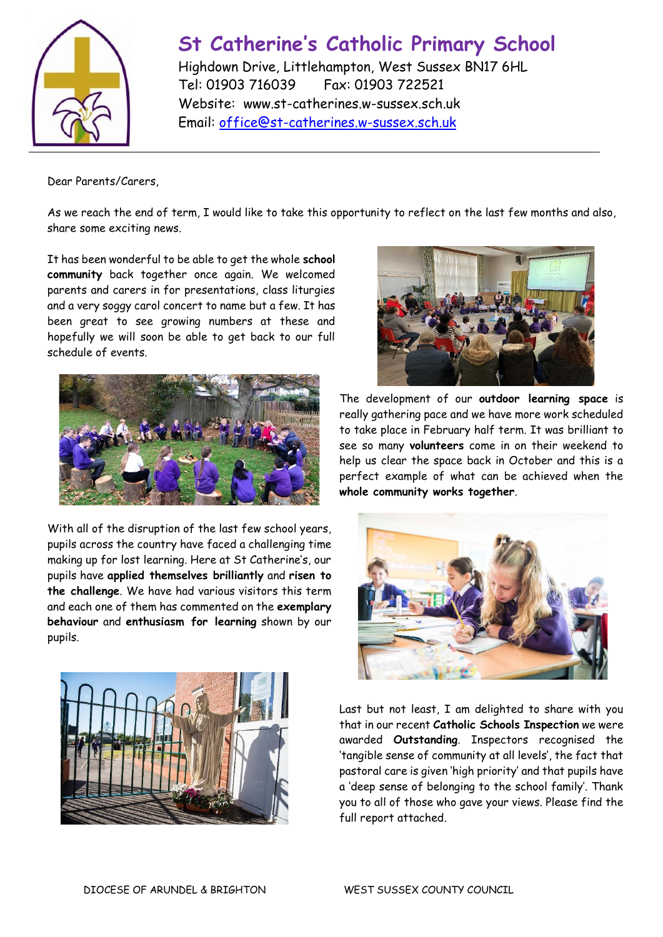

## **St Catherine's Catholic Primary School**

Highdown Drive, Littlehampton, West Sussex BN17 6HL Tel: 01903 716039 Fax: 01903 722521 Website: www.st-catherines.w-sussex.sch.uk Email: [office@st-catherines.w-sussex.sch.uk](mailto:office@st-catherines.w-sussex.sch.uk)

Dear Parents/Carers,

As we reach the end of term, I would like to take this opportunity to reflect on the last few months and also, share some exciting news.

It has been wonderful to be able to get the whole **school community** back together once again. We welcomed parents and carers in for presentations, class liturgies and a very soggy carol concert to name but a few. It has been great to see growing numbers at these and hopefully we will soon be able to get back to our full schedule of events.



With all of the disruption of the last few school years, pupils across the country have faced a challenging time making up for lost learning. Here at St Catherine's, our pupils have **applied themselves brilliantly** and **risen to the challenge**. We have had various visitors this term and each one of them has commented on the **exemplary behaviour** and **enthusiasm for learning** shown by our pupils.





The development of our **outdoor learning space** is really gathering pace and we have more work scheduled to take place in February half term. It was brilliant to see so many **volunteers** come in on their weekend to help us clear the space back in October and this is a perfect example of what can be achieved when the **whole community works together**.



Last but not least, I am delighted to share with you that in our recent **Catholic Schools Inspection** we were awarded **Outstanding**. Inspectors recognised the 'tangible sense of community at all levels', the fact that pastoral care is given 'high priority' and that pupils have a 'deep sense of belonging to the school family'. Thank you to all of those who gave your views. Please find the full report attached.